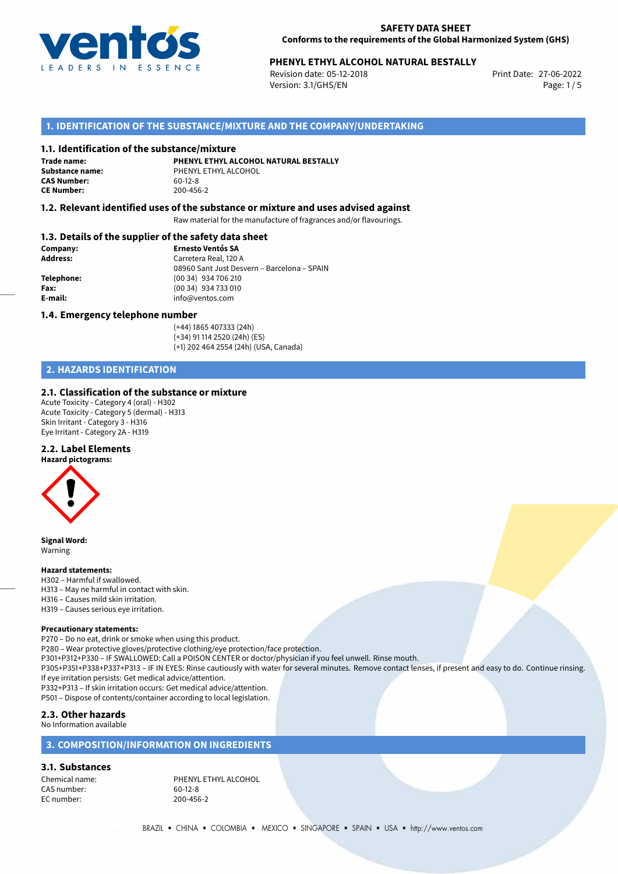

# **PHENYL ETHYL ALCOHOL NATURAL BESTALLY**<br>Revision date: 05-12-2018<br>Print Date: 27-06-2022

Revision date: 05-12-2018 Version: 3.1/GHS/EN Page: 1 / 5

## **1. IDENTIFICATION OF THE SUBSTANCE/MIXTURE AND THE COMPANY/UNDERTAKING**

#### **1.1. Identification of the substance/mixture**

**Trade name: CAS Number: CE Number:** 200-456-2

**PHENYL ETHYL ALCOHOL NATURAL BESTALLY Substance name:** PHENYL ETHYL ALCOHOL<br> **CAS Number:** 60-12-8

#### **1.2. Relevant identified uses of the substance or mixture and uses advised against**

Raw material for the manufacture of fragrances and/or flavourings.

#### **1.3. Details of the supplier of the safety data sheet**

| Company:        | <b>Ernesto Ventós SA</b>                    |  |
|-----------------|---------------------------------------------|--|
| <b>Address:</b> | Carretera Real, 120 A                       |  |
|                 | 08960 Sant Just Desvern - Barcelona - SPAIN |  |
| Telephone:      | (00 34) 934 706 210                         |  |
| Fax:            | (00 34) 934 733 010                         |  |
| E-mail:         | info@ventos.com                             |  |
|                 |                                             |  |

#### **1.4. Emergency telephone number**

(+44) 1865 407333 (24h) (+34) 91 114 2520 (24h) (ES) (+1) 202 464 2554 (24h) (USA, Canada)

# **2. HAZARDS IDENTIFICATION**

#### **2.1. Classification of the substance or mixture**

Acute Toxicity - Category 4 (oral) - H302 Acute Toxicity - Category 5 (dermal) - H313 Skin Irritant - Category 3 - H316 Eye Irritant - Category 2A - H319

#### **2.2. Label Elements**

**Hazard pictograms:**



**Signal Word:** Warning

#### **Hazard statements:**

- H302 Harmful if swallowed.
- H313 May ne harmful in contact with skin.
- H316 Causes mild skin irritation.
- H319 Causes serious eye irritation.

#### **Precautionary statements:**

P270 – Do no eat, drink or smoke when using this product. P280 – Wear protective gloves/protective clothing/eye protection/face protection. P301+P312+P330 – IF SWALLOWED: Call a POISON CENTER or doctor/physician if you feel unwell. Rinse mouth. P305+P351+P338+P337+P313 – IF IN EYES: Rinse cautiously with water for several minutes. Remove contact lenses, if present and easy to do. Continue rinsing. If eye irritation persists: Get medical advice/attention. P332+P313 – If skin irritation occurs: Get medical advice/attention.

P501 – Dispose of contents/container according to local legislation.

# **2.3. Other hazards**

No Information available

# **3. COMPOSITION/INFORMATION ON INGREDIENTS**

**3.1. Substances**

CAS number: EC number: 200-456-2

Chemical name: PHENYL ETHYL ALCOHOL<br>CAS number: 60-12-8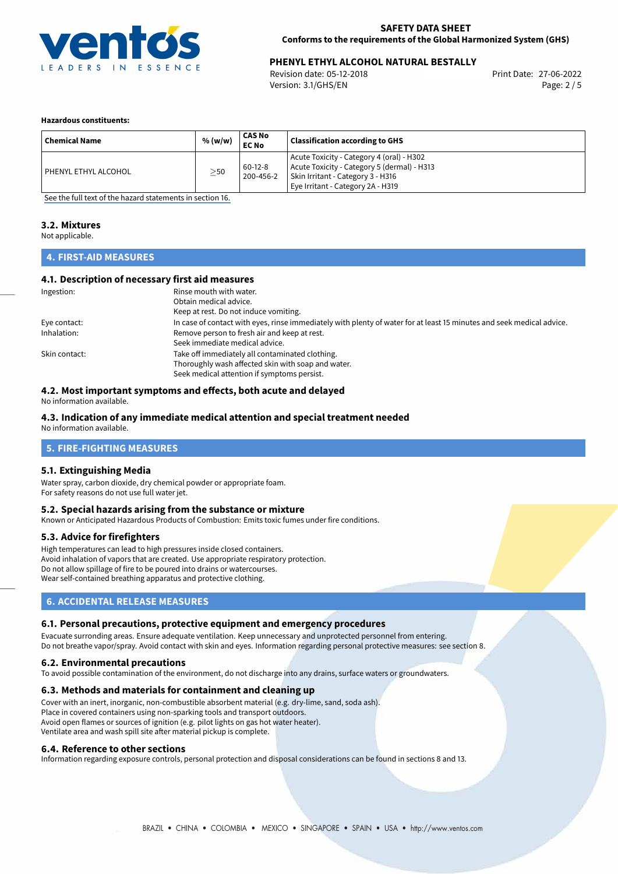

# **PHENYL ETHYL ALCOHOL NATURAL BESTALLY**<br>Revision date: 05-12-2018<br>Print Date: 27-06-2022

Revision date: 05-12-2018 Version: 3.1/GHS/EN Page: 2 / 5

#### **Hazardous constituents:**

| <b>Chemical Name</b> | % (w/w)   | CAS No<br>EC No      | <b>Classification according to GHS</b>                                                                                                                             |
|----------------------|-----------|----------------------|--------------------------------------------------------------------------------------------------------------------------------------------------------------------|
| PHENYL ETHYL ALCOHOL | $\geq$ 50 | 60-12-8<br>200-456-2 | Acute Toxicity - Category 4 (oral) - H302<br>Acute Toxicity - Category 5 (dermal) - H313<br>Skin Irritant - Category 3 - H316<br>Eye Irritant - Category 2A - H319 |

[See the full text of the hazard statements in section 16.](#page-4-0)

# **3.2. Mixtures**

Not applicable.

## **4. FIRST-AID MEASURES**

#### **4.1. Description of necessary first aid measures**

| Ingestion:    | Rinse mouth with water.                                                                                               |
|---------------|-----------------------------------------------------------------------------------------------------------------------|
|               | Obtain medical advice.                                                                                                |
|               | Keep at rest. Do not induce vomiting.                                                                                 |
| Eye contact:  | In case of contact with eyes, rinse immediately with plenty of water for at least 15 minutes and seek medical advice. |
| Inhalation:   | Remove person to fresh air and keep at rest.                                                                          |
|               | Seek immediate medical advice.                                                                                        |
| Skin contact: | Take off immediately all contaminated clothing.                                                                       |
|               | Thoroughly wash affected skin with soap and water.                                                                    |
|               | Seek medical attention if symptoms persist.                                                                           |

## **4.2. Most important symptoms and effects, both acute and delayed**

No information available.

## **4.3. Indication of any immediate medical attention and special treatment needed**

No information available.

### **5. FIRE-FIGHTING MEASURES**

#### **5.1. Extinguishing Media**

Water spray, carbon dioxide, dry chemical powder or appropriate foam. For safety reasons do not use full water jet.

#### **5.2. Special hazards arising from the substance or mixture**

Known or Anticipated Hazardous Products of Combustion: Emits toxic fumes under fire conditions.

#### **5.3. Advice for firefighters**

High temperatures can lead to high pressures inside closed containers. Avoid inhalation of vapors that are created. Use appropriate respiratory protection. Do not allow spillage of fire to be poured into drains or watercourses. Wear self-contained breathing apparatus and protective clothing.

# **6. ACCIDENTAL RELEASE MEASURES**

#### **6.1. Personal precautions, protective equipment and emergency procedures**

Evacuate surronding areas. Ensure adequate ventilation. Keep unnecessary and unprotected personnel from entering. Do not breathe vapor/spray. Avoid contact with skin and eyes. Information regarding personal protective measures: see section 8.

#### **6.2. Environmental precautions**

To avoid possible contamination of the environment, do not discharge into any drains, surface waters or groundwaters.

#### **6.3. Methods and materials for containment and cleaning up**

Cover with an inert, inorganic, non-combustible absorbent material (e.g. dry-lime, sand, soda ash). Place in covered containers using non-sparking tools and transport outdoors. Avoid open flames or sources of ignition (e.g. pilot lights on gas hot water heater). Ventilate area and wash spill site after material pickup is complete.

#### **6.4. Reference to other sections**

Information regarding exposure controls, personal protection and disposal considerations can be found in sections 8 and 13.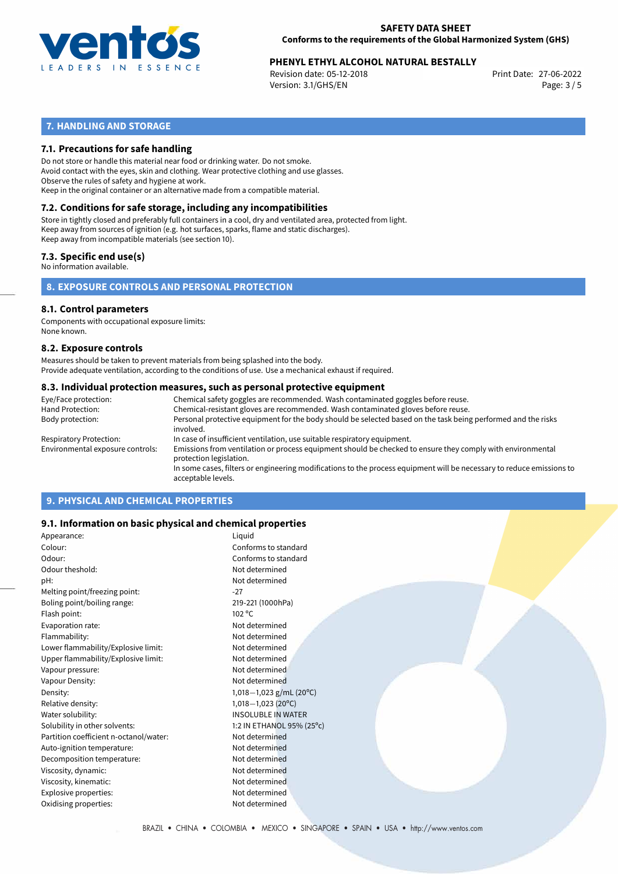

# **PHENYL ETHYL ALCOHOL NATURAL BESTALLY**<br>27-06-2022 Print Date: 27-06-2022

Revision date: 05-12-2018 Version: 3.1/GHS/EN Page: 3 / 5

# **7. HANDLING AND STORAGE**

#### **7.1. Precautions for safe handling**

Do not store or handle this material near food or drinking water. Do not smoke. Avoid contact with the eyes, skin and clothing. Wear protective clothing and use glasses. Observe the rules of safety and hygiene at work. Keep in the original container or an alternative made from a compatible material.

# **7.2. Conditions for safe storage, including any incompatibilities**

Store in tightly closed and preferably full containers in a cool, dry and ventilated area, protected from light. Keep away from sources of ignition (e.g. hot surfaces, sparks, flame and static discharges). Keep away from incompatible materials (see section 10).

#### **7.3. Specific end use(s)**

No information available.

**8. EXPOSURE CONTROLS AND PERSONAL PROTECTION**

#### **8.1. Control parameters**

Components with occupational exposure limits: None known.

#### **8.2. Exposure controls**

Measures should be taken to prevent materials from being splashed into the body. Provide adequate ventilation, according to the conditions of use. Use a mechanical exhaust if required.

#### **8.3. Individual protection measures, such as personal protective equipment**

| Eye/Face protection:             | Chemical safety goggles are recommended. Wash contaminated goggles before reuse.                                                            |
|----------------------------------|---------------------------------------------------------------------------------------------------------------------------------------------|
| Hand Protection:                 | Chemical-resistant gloves are recommended. Wash contaminated gloves before reuse.                                                           |
| Body protection:                 | Personal protective equipment for the body should be selected based on the task being performed and the risks<br>involved.                  |
| Respiratory Protection:          | In case of insufficient ventilation, use suitable respiratory equipment.                                                                    |
| Environmental exposure controls: | Emissions from ventilation or process equipment should be checked to ensure they comply with environmental<br>protection legislation.       |
|                                  | In some cases, filters or engineering modifications to the process equipment will be necessary to reduce emissions to<br>acceptable levels. |
|                                  |                                                                                                                                             |

# **9. PHYSICAL AND CHEMICAL PROPERTIES**

#### **9.1. Information on basic physical and chemical properties**

| Appearance:                            | Liquid                               |
|----------------------------------------|--------------------------------------|
| Colour:                                | Conforms to standard                 |
| Odour:                                 | Conforms to standard                 |
| Odour theshold:                        | Not determined                       |
| pH:                                    | Not determined                       |
| Melting point/freezing point:          | $-27$                                |
| Boling point/boiling range:            | 219-221 (1000hPa)                    |
| Flash point:                           | 102 °C                               |
| Evaporation rate:                      | Not determined                       |
| Flammability:                          | Not determined                       |
| Lower flammability/Explosive limit:    | Not determined                       |
| Upper flammability/Explosive limit:    | Not determined                       |
| Vapour pressure:                       | Not determined                       |
| Vapour Density:                        | Not determined                       |
| Density:                               | 1,018 - 1,023 g/mL (20 $^{\circ}$ C) |
| Relative density:                      | $1,018-1,023(20^{\circ}C)$           |
| Water solubility:                      | <b>INSOLUBLE IN WATER</b>            |
| Solubility in other solvents:          | 1:2 IN ETHANOL 95% (25°c)            |
| Partition coefficient n-octanol/water: | Not determined                       |
| Auto-ignition temperature:             | Not determined                       |
| Decomposition temperature:             | Not determined                       |
| Viscosity, dynamic:                    | Not determined                       |
| Viscosity, kinematic:                  | Not determined                       |
| Explosive properties:                  | Not determined                       |
| Oxidising properties:                  | Not determined                       |
|                                        |                                      |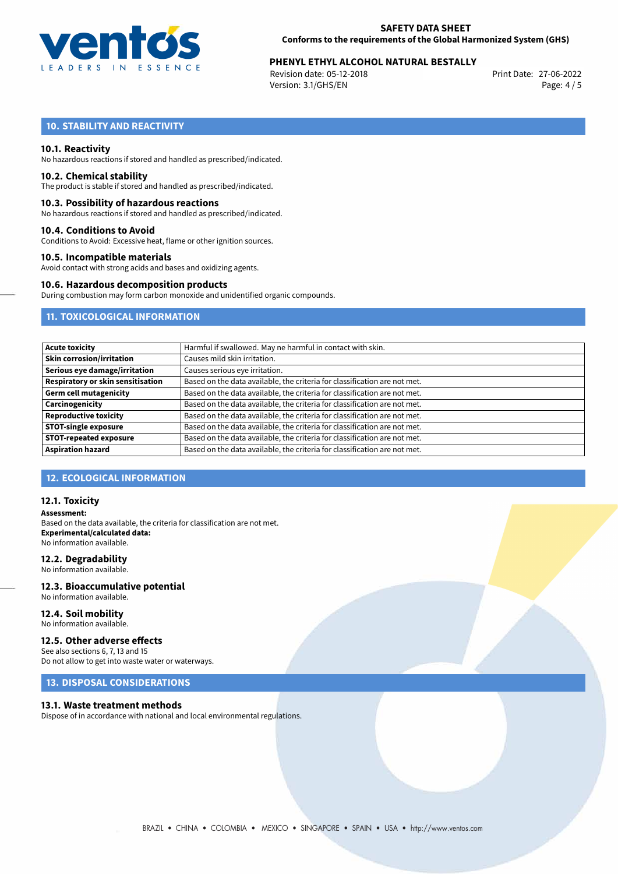

# **PHENYL ETHYL ALCOHOL NATURAL BESTALLY**<br>27-06-2022 Print Date: 27-06-2022

Revision date: 05-12-2018 Version: 3.1/GHS/EN Page: 4 / 5

# **10. STABILITY AND REACTIVITY**

#### **10.1. Reactivity**

No hazardous reactions if stored and handled as prescribed/indicated.

#### **10.2. Chemical stability**

The product is stable if stored and handled as prescribed/indicated.

#### **10.3. Possibility of hazardous reactions**

No hazardous reactions if stored and handled as prescribed/indicated.

#### **10.4. Conditions to Avoid**

Conditions to Avoid: Excessive heat, flame or other ignition sources.

#### **10.5. Incompatible materials**

Avoid contact with strong acids and bases and oxidizing agents.

#### **10.6. Hazardous decomposition products**

During combustion may form carbon monoxide and unidentified organic compounds.

# **11. TOXICOLOGICAL INFORMATION**

| Acute toxicity                    | Harmful if swallowed. May ne harmful in contact with skin.                |
|-----------------------------------|---------------------------------------------------------------------------|
| <b>Skin corrosion/irritation</b>  | Causes mild skin irritation.                                              |
| Serious eye damage/irritation     | Causes serious eye irritation.                                            |
| Respiratory or skin sensitisation | Based on the data available, the criteria for classification are not met. |
| Germ cell mutagenicity            | Based on the data available, the criteria for classification are not met. |
| <b>Carcinogenicity</b>            | Based on the data available, the criteria for classification are not met. |
| <b>Reproductive toxicity</b>      | Based on the data available, the criteria for classification are not met. |
| <b>STOT-single exposure</b>       | Based on the data available, the criteria for classification are not met. |
| <b>STOT-repeated exposure</b>     | Based on the data available, the criteria for classification are not met. |
| <b>Aspiration hazard</b>          | Based on the data available, the criteria for classification are not met. |

#### **12. ECOLOGICAL INFORMATION**

#### **12.1. Toxicity**

**Assessment:** Based on the data available, the criteria for classification are not met. **Experimental/calculated data:** No information available.

#### **12.2. Degradability**

No information available.

#### **12.3. Bioaccumulative potential** No information available.

**12.4. Soil mobility**

No information available.

### **12.5. Other adverse effects**

See also sections 6, 7, 13 and 15 Do not allow to get into waste water or waterways.

## **13. DISPOSAL CONSIDERATIONS**

#### **13.1. Waste treatment methods**

Dispose of in accordance with national and local environmental regulations.